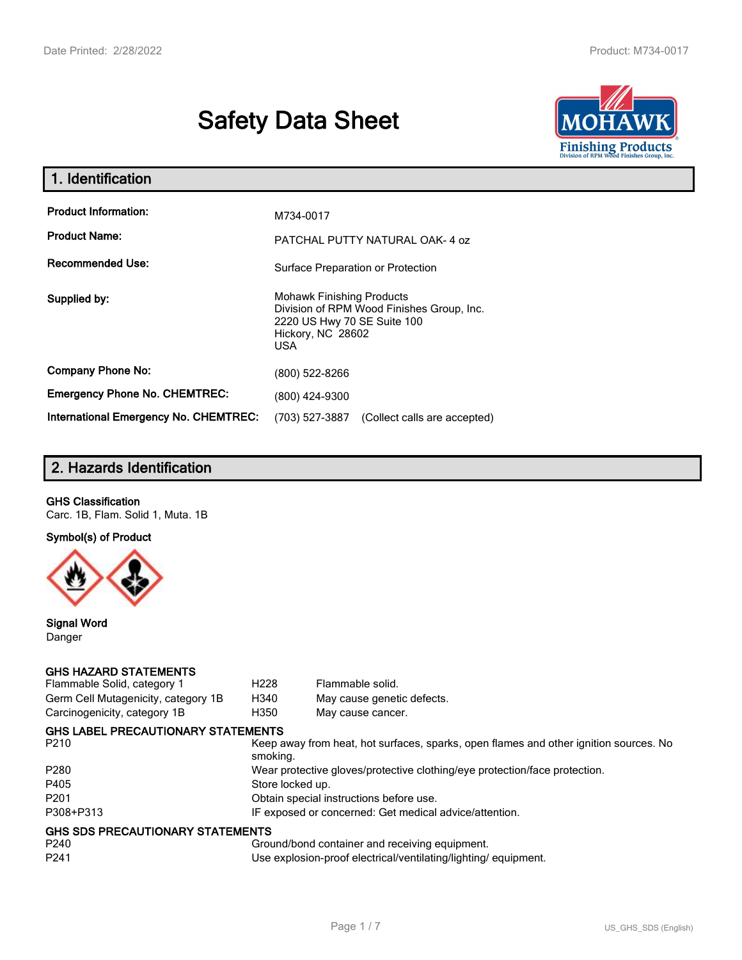# **Safety Data Sheet**



| 1. Identification                            |                                                                                                                                          |
|----------------------------------------------|------------------------------------------------------------------------------------------------------------------------------------------|
| <b>Product Information:</b>                  | M734-0017                                                                                                                                |
| <b>Product Name:</b>                         | PATCHAL PUTTY NATURAL OAK-4 oz                                                                                                           |
| <b>Recommended Use:</b>                      | Surface Preparation or Protection                                                                                                        |
| Supplied by:                                 | <b>Mohawk Finishing Products</b><br>Division of RPM Wood Finishes Group, Inc.<br>2220 US Hwy 70 SE Suite 100<br>Hickory, NC 28602<br>USA |
| <b>Company Phone No:</b>                     | (800) 522-8266                                                                                                                           |
| <b>Emergency Phone No. CHEMTREC:</b>         | (800) 424-9300                                                                                                                           |
| <b>International Emergency No. CHEMTREC:</b> | (703) 527-3887<br>(Collect calls are accepted)                                                                                           |

# **2. Hazards Identification**

## **GHS Classification**

Carc. 1B, Flam. Solid 1, Muta. 1B

**Symbol(s) of Product**



**Signal Word** Danger

#### **GHS HAZARD STATEMENTS**

| Flammable Solid, category 1         | H <sub>228</sub>                                                           | Flammable solid.                                                                      |  |
|-------------------------------------|----------------------------------------------------------------------------|---------------------------------------------------------------------------------------|--|
| Germ Cell Mutagenicity, category 1B | H340                                                                       | May cause genetic defects.                                                            |  |
| Carcinogenicity, category 1B        | H350                                                                       | May cause cancer.                                                                     |  |
| GHS LABEL PRECAUTIONARY STATEMENTS  |                                                                            |                                                                                       |  |
| P210                                | smoking.                                                                   | Keep away from heat, hot surfaces, sparks, open flames and other ignition sources. No |  |
| P280                                | Wear protective gloves/protective clothing/eye protection/face protection. |                                                                                       |  |
| P405                                | Store locked up.                                                           |                                                                                       |  |
| P201                                | Obtain special instructions before use.                                    |                                                                                       |  |
| P308+P313                           |                                                                            | IF exposed or concerned: Get medical advice/attention.                                |  |
| GHS SDS PRECAUTIONARY STATEMENTS    |                                                                            |                                                                                       |  |
| P240                                |                                                                            | Ground/bond container and receiving equipment.                                        |  |
| P241                                |                                                                            | Use explosion-proof electrical/ventilating/lighting/equipment.                        |  |
|                                     |                                                                            |                                                                                       |  |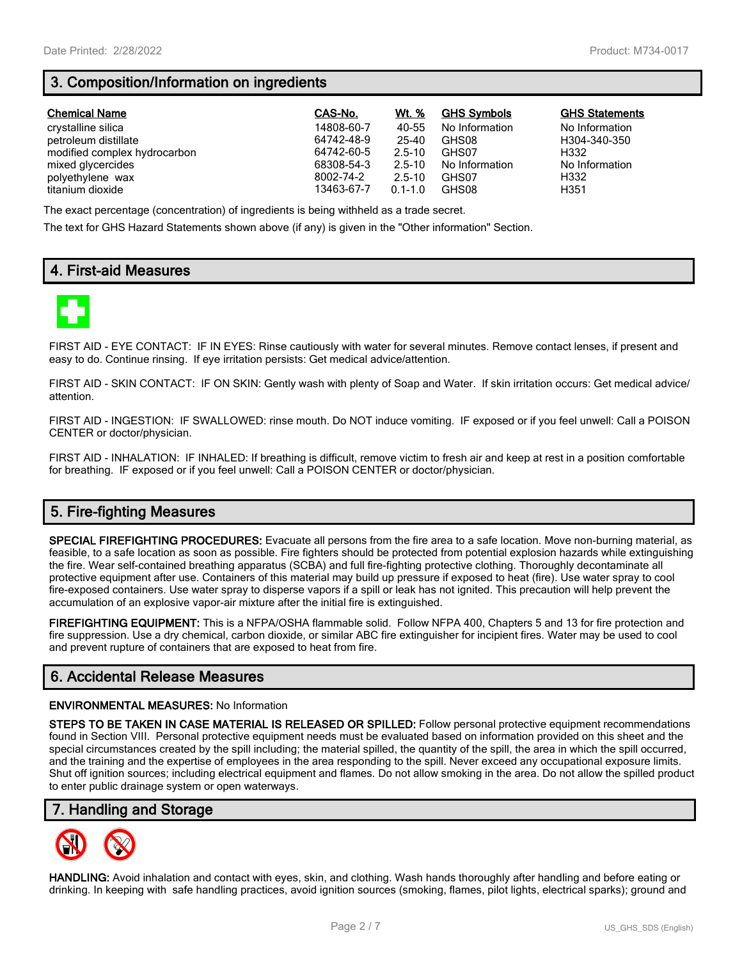# **3. Composition/Information on ingredients**

| <b>Chemical Name</b>         | CAS-No.    | Wt. %       | <b>GHS Symbols</b> | <b>GHS Statements</b> |
|------------------------------|------------|-------------|--------------------|-----------------------|
| crystalline silica           | 14808-60-7 | 40-55       | No Information     | No Information        |
| petroleum distillate         | 64742-48-9 | 25-40       | GHS08              | H304-340-350          |
| modified complex hydrocarbon | 64742-60-5 | $2.5 - 10$  | GHS07              | H332                  |
| mixed glycercides            | 68308-54-3 | $2.5 - 10$  | No Information     | No Information        |
| polyethylene wax             | 8002-74-2  | $2.5 - 10$  | GHS07              | H332                  |
| titanium dioxide             | 13463-67-7 | $0.1 - 1.0$ | GHS08              | H351                  |

The exact percentage (concentration) of ingredients is being withheld as a trade secret.

The text for GHS Hazard Statements shown above (if any) is given in the "Other information" Section.

## **4. First-aid Measures**



FIRST AID - EYE CONTACT: IF IN EYES: Rinse cautiously with water for several minutes. Remove contact lenses, if present and easy to do. Continue rinsing. If eye irritation persists: Get medical advice/attention.

FIRST AID - SKIN CONTACT: IF ON SKIN: Gently wash with plenty of Soap and Water. If skin irritation occurs: Get medical advice/ attention.

FIRST AID - INGESTION: IF SWALLOWED: rinse mouth. Do NOT induce vomiting. IF exposed or if you feel unwell: Call a POISON CENTER or doctor/physician.

FIRST AID - INHALATION: IF INHALED: If breathing is difficult, remove victim to fresh air and keep at rest in a position comfortable for breathing. IF exposed or if you feel unwell: Call a POISON CENTER or doctor/physician.

## **5. Fire-fighting Measures**

**SPECIAL FIREFIGHTING PROCEDURES:** Evacuate all persons from the fire area to a safe location. Move non-burning material, as feasible, to a safe location as soon as possible. Fire fighters should be protected from potential explosion hazards while extinguishing the fire. Wear self-contained breathing apparatus (SCBA) and full fire-fighting protective clothing. Thoroughly decontaminate all protective equipment after use. Containers of this material may build up pressure if exposed to heat (fire). Use water spray to cool fire-exposed containers. Use water spray to disperse vapors if a spill or leak has not ignited. This precaution will help prevent the accumulation of an explosive vapor-air mixture after the initial fire is extinguished.

**FIREFIGHTING EQUIPMENT:** This is a NFPA/OSHA flammable solid. Follow NFPA 400, Chapters 5 and 13 for fire protection and fire suppression. Use a dry chemical, carbon dioxide, or similar ABC fire extinguisher for incipient fires. Water may be used to cool and prevent rupture of containers that are exposed to heat from fire.

## **6. Accidental Release Measures**

#### **ENVIRONMENTAL MEASURES:** No Information

**STEPS TO BE TAKEN IN CASE MATERIAL IS RELEASED OR SPILLED:** Follow personal protective equipment recommendations found in Section VIII. Personal protective equipment needs must be evaluated based on information provided on this sheet and the special circumstances created by the spill including; the material spilled, the quantity of the spill, the area in which the spill occurred, and the training and the expertise of employees in the area responding to the spill. Never exceed any occupational exposure limits. Shut off ignition sources; including electrical equipment and flames. Do not allow smoking in the area. Do not allow the spilled product to enter public drainage system or open waterways.

## **7. Handling and Storage**



**HANDLING:** Avoid inhalation and contact with eyes, skin, and clothing. Wash hands thoroughly after handling and before eating or drinking. In keeping with safe handling practices, avoid ignition sources (smoking, flames, pilot lights, electrical sparks); ground and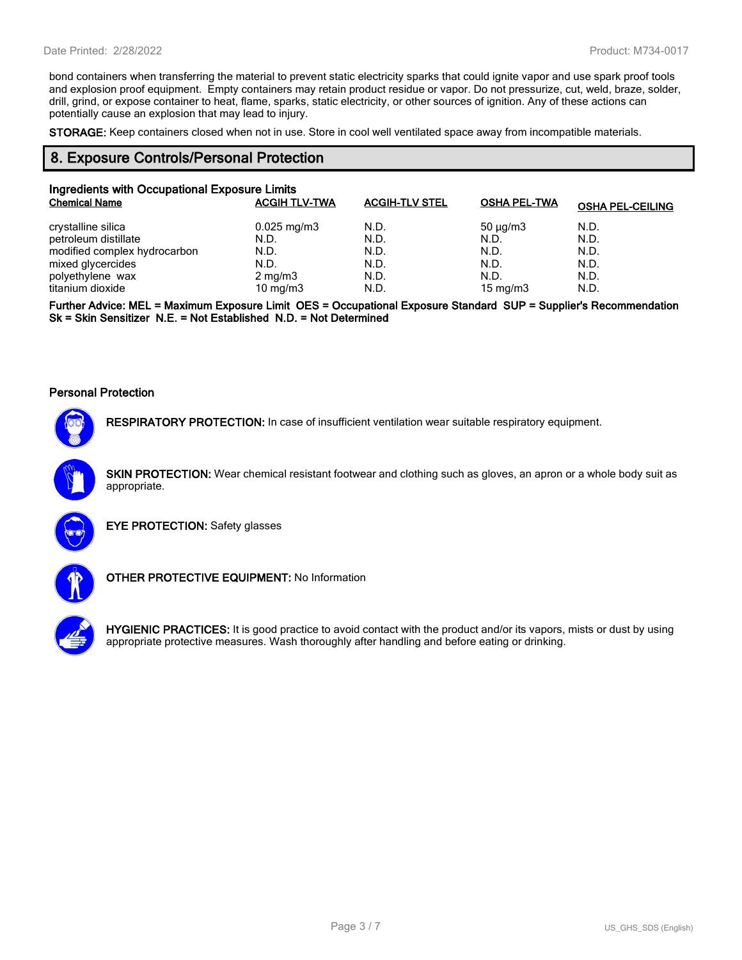bond containers when transferring the material to prevent static electricity sparks that could ignite vapor and use spark proof tools and explosion proof equipment. Empty containers may retain product residue or vapor. Do not pressurize, cut, weld, braze, solder, drill, grind, or expose container to heat, flame, sparks, static electricity, or other sources of ignition. Any of these actions can potentially cause an explosion that may lead to injury.

**STORAGE:** Keep containers closed when not in use. Store in cool well ventilated space away from incompatible materials.

## **8. Exposure Controls/Personal Protection**

| Ingredients with Occupational Exposure Limits |                         |                       |                     |                         |
|-----------------------------------------------|-------------------------|-----------------------|---------------------|-------------------------|
| <b>Chemical Name</b>                          | <b>ACGIH TLV-TWA</b>    | <b>ACGIH-TLV STEL</b> | <b>OSHA PEL-TWA</b> | <b>OSHA PEL-CEILING</b> |
| crystalline silica                            | $0.025 \,\mathrm{mg/m}$ | N.D.                  | $50 \mu q/m3$       | N.D.                    |
| petroleum distillate                          | N.D.                    | N.D.                  | N.D.                | N.D.                    |
| modified complex hydrocarbon                  | N.D.                    | N.D.                  | N.D.                | N.D.                    |
| mixed glycercides                             | N.D.                    | N.D.                  | N.D.                | N.D.                    |
| polyethylene wax                              | $2 \text{ mg/m}$ 3      | N.D.                  | N.D.                | N.D.                    |
| titanium dioxide                              | 10 mg/m $3$             | N.D.                  | 15 mg/m $3$         | N.D.                    |

**Further Advice: MEL = Maximum Exposure Limit OES = Occupational Exposure Standard SUP = Supplier's Recommendation Sk = Skin Sensitizer N.E. = Not Established N.D. = Not Determined**

#### **Personal Protection**



**RESPIRATORY PROTECTION:** In case of insufficient ventilation wear suitable respiratory equipment.

**SKIN PROTECTION:** Wear chemical resistant footwear and clothing such as gloves, an apron or a whole body suit as appropriate.



**EYE PROTECTION:** Safety glasses



**OTHER PROTECTIVE EQUIPMENT:** No Information



**HYGIENIC PRACTICES:** It is good practice to avoid contact with the product and/or its vapors, mists or dust by using appropriate protective measures. Wash thoroughly after handling and before eating or drinking.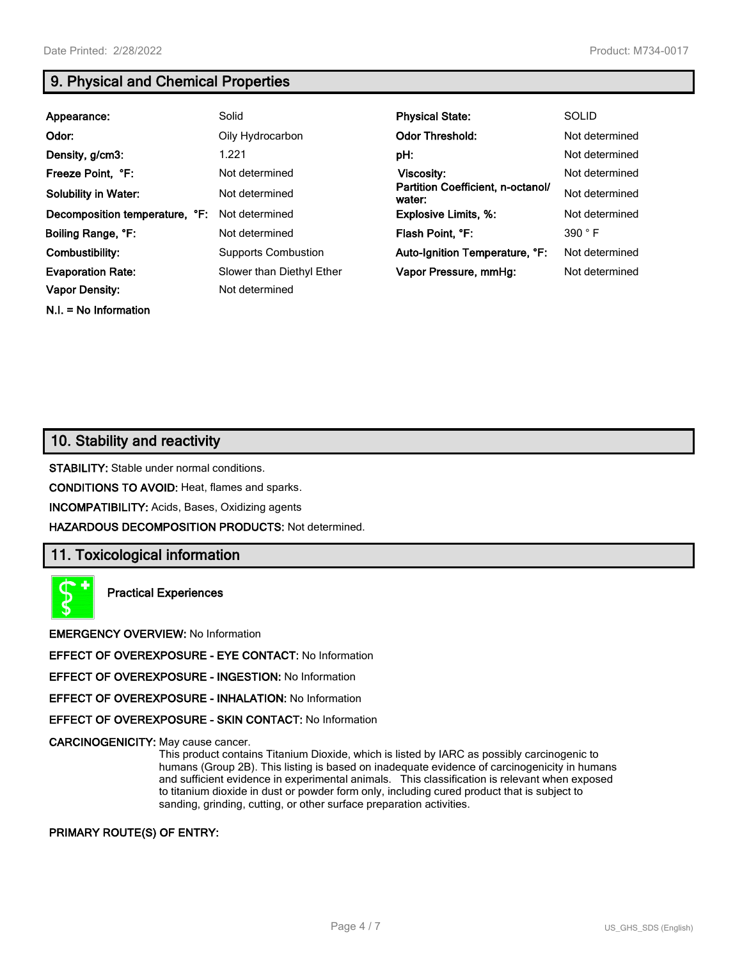**N.I. = No Information**

## **9. Physical and Chemical Properties**

| Appearance:                    | Solid                      | <b>Physical State:</b>                      | <b>SOLID</b>   |
|--------------------------------|----------------------------|---------------------------------------------|----------------|
| Odor:                          | Oily Hydrocarbon           | <b>Odor Threshold:</b>                      | Not determined |
| Density, g/cm3:                | 1.221                      | pH:                                         | Not determined |
| Freeze Point, °F:              | Not determined             | <b>Viscosity:</b>                           | Not determined |
| <b>Solubility in Water:</b>    | Not determined             | Partition Coefficient, n-octanol/<br>water: | Not determined |
| Decomposition temperature, °F: | Not determined             | <b>Explosive Limits, %:</b>                 | Not determined |
| Boiling Range, °F:             | Not determined             | Flash Point, °F:                            | 390 °F         |
| Combustibility:                | <b>Supports Combustion</b> | Auto-Ignition Temperature, °F:              | Not determined |
| <b>Evaporation Rate:</b>       | Slower than Diethyl Ether  | Vapor Pressure, mmHq:                       | Not determined |
| <b>Vapor Density:</b>          | Not determined             |                                             |                |

## **10. Stability and reactivity**

**STABILITY:** Stable under normal conditions.

**CONDITIONS TO AVOID:** Heat, flames and sparks.

**INCOMPATIBILITY:** Acids, Bases, Oxidizing agents

**HAZARDOUS DECOMPOSITION PRODUCTS:** Not determined.

## **11. Toxicological information**

**Practical Experiences**

**EMERGENCY OVERVIEW:** No Information

**EFFECT OF OVEREXPOSURE - EYE CONTACT:** No Information

**EFFECT OF OVEREXPOSURE - INGESTION:** No Information

**EFFECT OF OVEREXPOSURE - INHALATION:** No Information

**EFFECT OF OVEREXPOSURE - SKIN CONTACT:** No Information

**CARCINOGENICITY:** May cause cancer.

This product contains Titanium Dioxide, which is listed by IARC as possibly carcinogenic to humans (Group 2B). This listing is based on inadequate evidence of carcinogenicity in humans and sufficient evidence in experimental animals. This classification is relevant when exposed to titanium dioxide in dust or powder form only, including cured product that is subject to sanding, grinding, cutting, or other surface preparation activities.

**PRIMARY ROUTE(S) OF ENTRY:**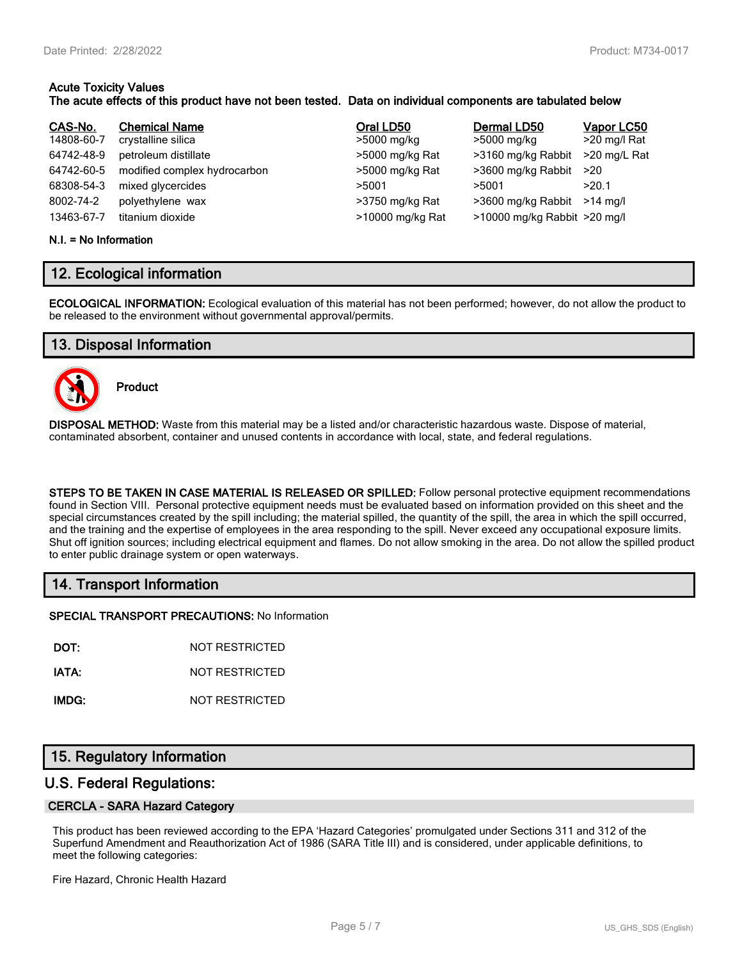#### **Acute Toxicity Values The acute effects of this product have not been tested. Data on individual components are tabulated below**

| CAS-No.    | <b>Chemical Name</b>         | Oral LD50        | Dermal LD50                  | Vapor LC50   |
|------------|------------------------------|------------------|------------------------------|--------------|
| 14808-60-7 | crystalline silica           | >5000 mg/kg      | >5000 mg/kg                  | >20 mg/l Rat |
| 64742-48-9 | petroleum distillate         | >5000 mg/kg Rat  | >3160 mg/kg Rabbit           | >20 mg/L Rat |
| 64742-60-5 | modified complex hydrocarbon | >5000 mg/kg Rat  | >3600 mg/kg Rabbit           | >20          |
| 68308-54-3 | mixed glycercides            | >5001            | >5001                        | >20.1        |
| 8002-74-2  | polyethylene wax             | >3750 mg/kg Rat  | >3600 mg/kg Rabbit           | $>14$ ma/l   |
| 13463-67-7 | titanium dioxide             | >10000 mg/kg Rat | >10000 mg/kg Rabbit >20 mg/l |              |

#### **N.I. = No Information**

## **12. Ecological information**

**ECOLOGICAL INFORMATION:** Ecological evaluation of this material has not been performed; however, do not allow the product to be released to the environment without governmental approval/permits.

## **13. Disposal Information**



**Product**

**DISPOSAL METHOD:** Waste from this material may be a listed and/or characteristic hazardous waste. Dispose of material, contaminated absorbent, container and unused contents in accordance with local, state, and federal regulations.

**STEPS TO BE TAKEN IN CASE MATERIAL IS RELEASED OR SPILLED:** Follow personal protective equipment recommendations found in Section VIII. Personal protective equipment needs must be evaluated based on information provided on this sheet and the special circumstances created by the spill including; the material spilled, the quantity of the spill, the area in which the spill occurred, and the training and the expertise of employees in the area responding to the spill. Never exceed any occupational exposure limits. Shut off ignition sources; including electrical equipment and flames. Do not allow smoking in the area. Do not allow the spilled product to enter public drainage system or open waterways.

## **14. Transport Information**

**SPECIAL TRANSPORT PRECAUTIONS:** No Information

**DOT:** NOT RESTRICTED

**IATA:** NOT RESTRICTED

**IMDG:** NOT RESTRICTED

## **15. Regulatory Information**

## **U.S. Federal Regulations:**

#### **CERCLA - SARA Hazard Category**

This product has been reviewed according to the EPA 'Hazard Categories' promulgated under Sections 311 and 312 of the Superfund Amendment and Reauthorization Act of 1986 (SARA Title III) and is considered, under applicable definitions, to meet the following categories:

Fire Hazard, Chronic Health Hazard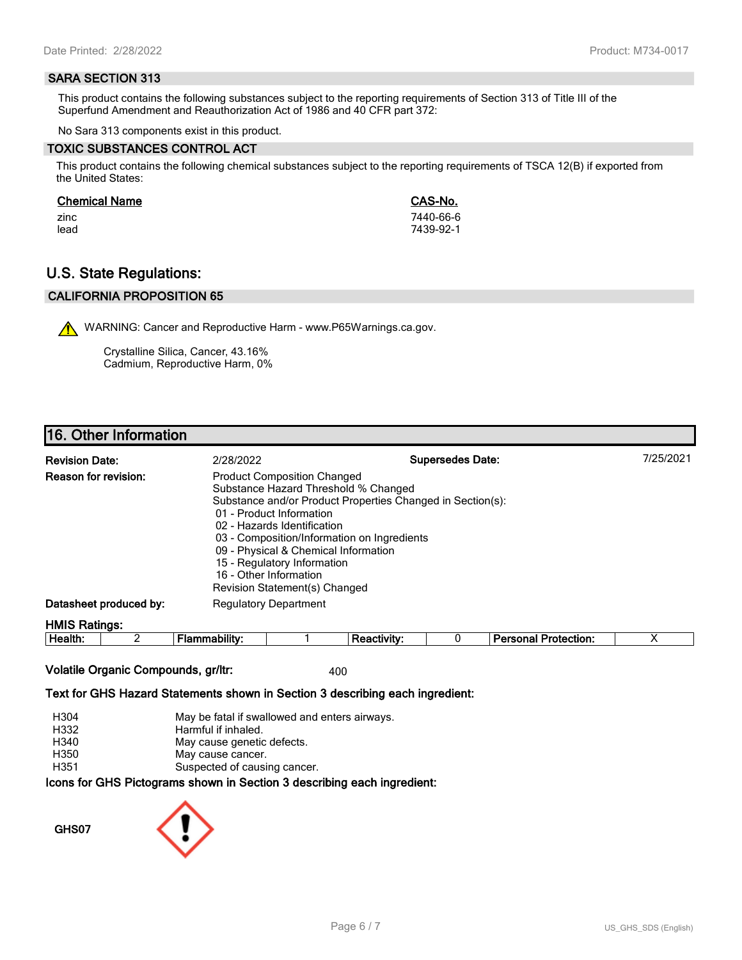#### **SARA SECTION 313**

This product contains the following substances subject to the reporting requirements of Section 313 of Title III of the Superfund Amendment and Reauthorization Act of 1986 and 40 CFR part 372:

No Sara 313 components exist in this product.

#### **TOXIC SUBSTANCES CONTROL ACT**

This product contains the following chemical substances subject to the reporting requirements of TSCA 12(B) if exported from the United States:

#### **Chemical Name CAS-No.**

zinc 7440-66-6 lead 7439-92-1

## **U.S. State Regulations:**

## **CALIFORNIA PROPOSITION 65**

WARNING: Cancer and Reproductive Harm - www.P65Warnings.ca.gov.

Crystalline Silica, Cancer, 43.16% Cadmium, Reproductive Harm, 0%

## **16. Other Information**

| <b>Revision Date:</b>  | 2/28/2022                                                                                                                                                                                                                                                                                                                                                                            | <b>Supersedes Date:</b> | 7/25/2021 |
|------------------------|--------------------------------------------------------------------------------------------------------------------------------------------------------------------------------------------------------------------------------------------------------------------------------------------------------------------------------------------------------------------------------------|-------------------------|-----------|
| Reason for revision:   | <b>Product Composition Changed</b><br>Substance Hazard Threshold % Changed<br>Substance and/or Product Properties Changed in Section(s):<br>01 - Product Information<br>02 - Hazards Identification<br>03 - Composition/Information on Ingredients<br>09 - Physical & Chemical Information<br>15 - Regulatory Information<br>16 - Other Information<br>Revision Statement(s) Changed |                         |           |
| Datasheet produced by: | <b>Regulatory Department</b>                                                                                                                                                                                                                                                                                                                                                         |                         |           |
| <b>HMIS Ratings:</b>   |                                                                                                                                                                                                                                                                                                                                                                                      |                         |           |

| − |  |  | - - - |  |
|---|--|--|-------|--|
|   |  |  |       |  |

## **Volatile Organic Compounds, gr/ltr:** 400

#### **Text for GHS Hazard Statements shown in Section 3 describing each ingredient:**

| H304 | May be fatal if swallowed and enters airways.                   |
|------|-----------------------------------------------------------------|
| H332 | Harmful if inhaled.                                             |
| H340 | May cause genetic defects.                                      |
| H350 | May cause cancer.                                               |
| H351 | Suspected of causing cancer.                                    |
|      | cons for CHS Dictograms shown in Section 3 describing each ingr |

**Icons for GHS Pictograms shown in Section 3 describing each ingredient:**

**GHS07**